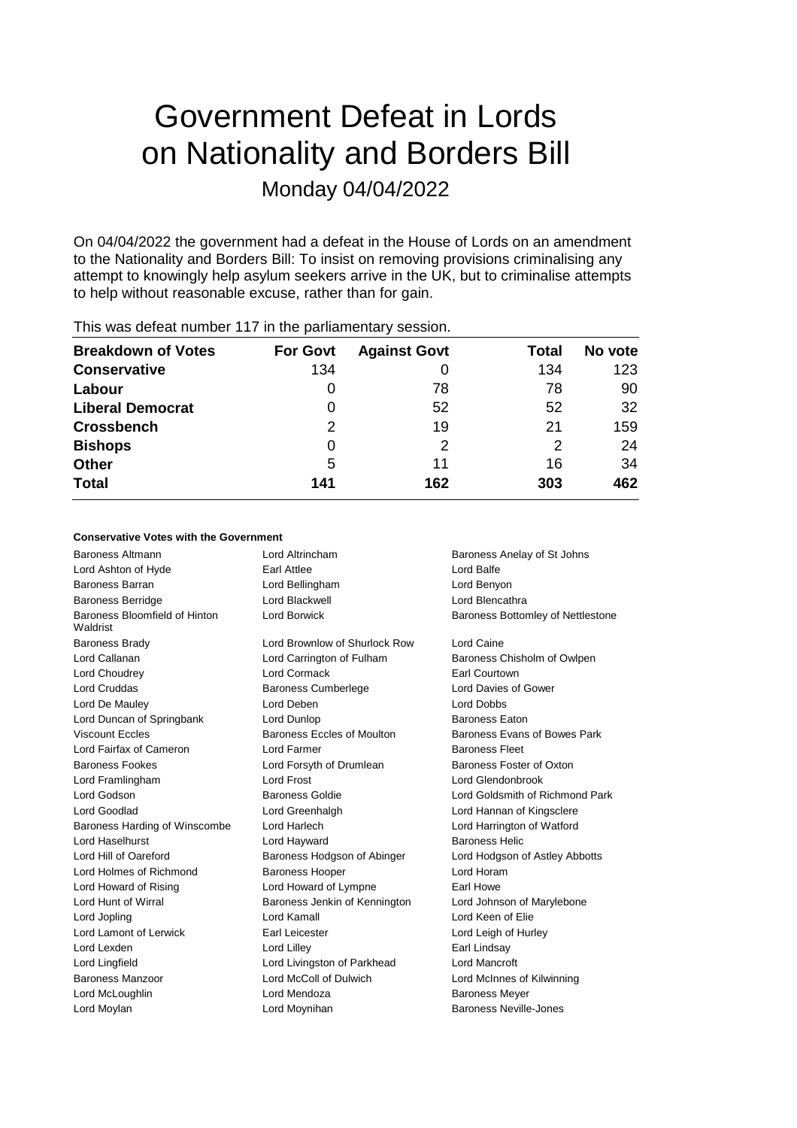# Government Defeat in Lords on Nationality and Borders Bill Monday 04/04/2022

On 04/04/2022 the government had a defeat in the House of Lords on an amendment to the Nationality and Borders Bill: To insist on removing provisions criminalising any attempt to knowingly help asylum seekers arrive in the UK, but to criminalise attempts to help without reasonable excuse, rather than for gain.

| <b>Breakdown of Votes</b> | <b>For Govt</b> | <b>Against Govt</b> | Total | No vote |
|---------------------------|-----------------|---------------------|-------|---------|
| <b>Conservative</b>       | 134             |                     | 134   | 123     |
| Labour                    | 0               | 78                  | 78    | 90      |
| <b>Liberal Democrat</b>   | 0               | 52                  | 52    | 32      |
| <b>Crossbench</b>         | 2               | 19                  | 21    | 159     |
| <b>Bishops</b>            | 0               | 2                   | 2     | 24      |
| <b>Other</b>              | 5               | 11                  | 16    | 34      |
| <b>Total</b>              | 141             | 162                 | 303   | 462     |
|                           |                 |                     |       |         |

# This was defeat number 117 in the parliamentary session.

#### **Conservative Votes with the Government**

| <b>Baroness Altmann</b>                   | Lord Altrincham               | Baroness Anelay of St Johns       |
|-------------------------------------------|-------------------------------|-----------------------------------|
| Lord Ashton of Hyde                       | Earl Attlee                   | Lord Balfe                        |
| Baroness Barran                           | Lord Bellingham               | Lord Benyon                       |
| <b>Baroness Berridge</b>                  | Lord Blackwell                | Lord Blencathra                   |
| Baroness Bloomfield of Hinton<br>Waldrist | Lord Borwick                  | Baroness Bottomley of Nettlestone |
| <b>Baroness Brady</b>                     | Lord Brownlow of Shurlock Row | Lord Caine                        |
| Lord Callanan                             | Lord Carrington of Fulham     | Baroness Chisholm of Owlpen       |
| Lord Choudrey                             | Lord Cormack                  | Earl Courtown                     |
| <b>Lord Cruddas</b>                       | <b>Baroness Cumberlege</b>    | Lord Davies of Gower              |
| Lord De Mauley                            | Lord Deben                    | Lord Dobbs                        |
| Lord Duncan of Springbank                 | Lord Dunlop                   | <b>Baroness Eaton</b>             |
| <b>Viscount Eccles</b>                    | Baroness Eccles of Moulton    | Baroness Evans of Bowes Park      |
| Lord Fairfax of Cameron                   | <b>Lord Farmer</b>            | <b>Baroness Fleet</b>             |
| <b>Baroness Fookes</b>                    | Lord Forsyth of Drumlean      | Baroness Foster of Oxton          |
| Lord Framlingham                          | Lord Frost                    | Lord Glendonbrook                 |
| Lord Godson                               | <b>Baroness Goldie</b>        | Lord Goldsmith of Richmond Park   |
| Lord Goodlad                              | Lord Greenhalgh               | Lord Hannan of Kingsclere         |
| Baroness Harding of Winscombe             | Lord Harlech                  | Lord Harrington of Watford        |
| Lord Haselhurst                           | Lord Hayward                  | <b>Baroness Helic</b>             |
| Lord Hill of Oareford                     | Baroness Hodgson of Abinger   | Lord Hodgson of Astley Abbotts    |
| Lord Holmes of Richmond                   | <b>Baroness Hooper</b>        | Lord Horam                        |
| Lord Howard of Rising                     | Lord Howard of Lympne         | Earl Howe                         |
| Lord Hunt of Wirral                       | Baroness Jenkin of Kennington | Lord Johnson of Marylebone        |
| Lord Jopling                              | Lord Kamall                   | Lord Keen of Elie                 |
| Lord Lamont of Lerwick                    | Earl Leicester                | Lord Leigh of Hurley              |
| Lord Lexden                               | Lord Lilley                   | Earl Lindsay                      |
| Lord Lingfield                            | Lord Livingston of Parkhead   | Lord Mancroft                     |
| Baroness Manzoor                          | Lord McColl of Dulwich        | Lord McInnes of Kilwinning        |
| Lord McLoughlin                           | Lord Mendoza                  | <b>Baroness Meyer</b>             |
| Lord Moylan                               | Lord Moynihan                 | Baroness Neville-Jones            |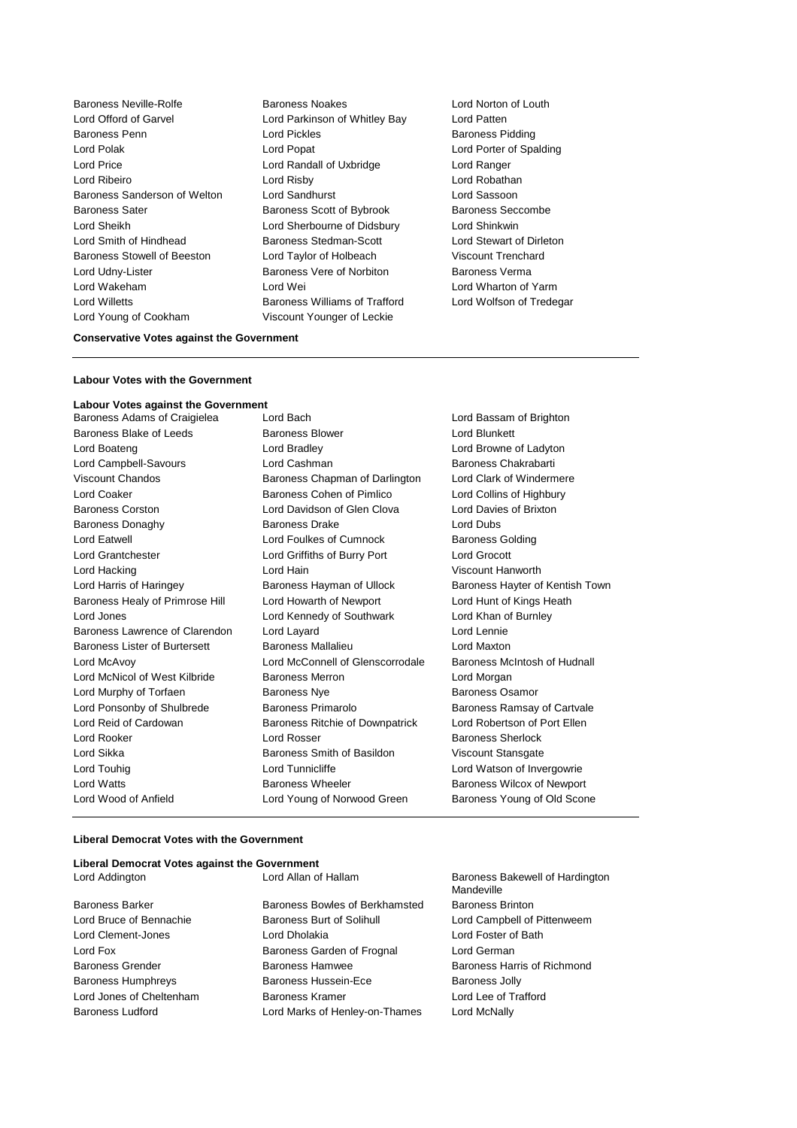Baroness Neville-Rolfe Baroness Noakes Lord Norton of Louth Lord Offord of Garvel **Lord Parkinson of Whitley Bay** Lord Patten Baroness Penn **Lord Pickles Baroness Pidding** Lord Polak Lord Popat Lord Porter of Spalding Lord Price Lord Randall of Uxbridge Lord Ranger Lord Ribeiro Lord Risby Lord Robathan Baroness Sanderson of Welton Lord Sandhurst Lord Sassoon Baroness Sater **Baroness Scott of Bybrook** Baroness Seccombe Lord Sheikh Lord Sherbourne of Didsbury Lord Shinkwin Lord Smith of Hindhead Baroness Stedman-Scott Lord Stewart of Dirleton Baroness Stowell of Beeston Lord Taylor of Holbeach Viscount Trenchard Lord Udny-Lister **Baroness Vere of Norbiton** Baroness Verma Lord Wakeham **Lord Wei** Lord Wei Lord Wei Lord Wharton of Yarm<br>
Lord Willetts **Condition Bart Condition** Baroness Williams of Trafford Lord Wolfson of Tredegar Lord Young of Cookham Viscount Younger of Leckie

Baroness Williams of Trafford

## **Conservative Votes against the Government**

#### **Labour Votes with the Government**

# **Labour Votes against the Government**

| Baroness Adams of Craigielea    | Lord Bach                        | Lord Bassam of Brighton         |
|---------------------------------|----------------------------------|---------------------------------|
| Baroness Blake of Leeds         | <b>Baroness Blower</b>           | <b>Lord Blunkett</b>            |
| Lord Boateng                    | Lord Bradley                     | Lord Browne of Ladyton          |
| Lord Campbell-Savours           | Lord Cashman                     | Baroness Chakrabarti            |
| Viscount Chandos                | Baroness Chapman of Darlington   | Lord Clark of Windermere        |
| Lord Coaker                     | Baroness Cohen of Pimlico        | Lord Collins of Highbury        |
| <b>Baroness Corston</b>         | Lord Davidson of Glen Clova      | Lord Davies of Brixton          |
| <b>Baroness Donaghy</b>         | <b>Baroness Drake</b>            | Lord Dubs                       |
| Lord Eatwell                    | Lord Foulkes of Cumnock          | <b>Baroness Golding</b>         |
| Lord Grantchester               | Lord Griffiths of Burry Port     | <b>Lord Grocott</b>             |
| Lord Hacking                    | Lord Hain                        | <b>Viscount Hanworth</b>        |
| Lord Harris of Haringey         | Baroness Hayman of Ullock        | Baroness Hayter of Kentish Town |
| Baroness Healy of Primrose Hill | Lord Howarth of Newport          | Lord Hunt of Kings Heath        |
| Lord Jones                      | Lord Kennedy of Southwark        | Lord Khan of Burnley            |
| Baroness Lawrence of Clarendon  | Lord Layard                      | Lord Lennie                     |
| Baroness Lister of Burtersett   | Baroness Mallalieu               | Lord Maxton                     |
| Lord McAvoy                     | Lord McConnell of Glenscorrodale | Baroness McIntosh of Hudnall    |
| Lord McNicol of West Kilbride   | <b>Baroness Merron</b>           | Lord Morgan                     |
| Lord Murphy of Torfaen          | <b>Baroness Nye</b>              | Baroness Osamor                 |
| Lord Ponsonby of Shulbrede      | Baroness Primarolo               | Baroness Ramsay of Cartvale     |
| Lord Reid of Cardowan           | Baroness Ritchie of Downpatrick  | Lord Robertson of Port Ellen    |
| Lord Rooker                     | Lord Rosser                      | <b>Baroness Sherlock</b>        |
| Lord Sikka                      | Baroness Smith of Basildon       | Viscount Stansgate              |
| Lord Touhig                     | Lord Tunnicliffe                 | Lord Watson of Invergowrie      |
| <b>Lord Watts</b>               | Baroness Wheeler                 | Baroness Wilcox of Newport      |
| Lord Wood of Anfield            | Lord Young of Norwood Green      | Baroness Young of Old Scone     |

### **Liberal Democrat Votes with the Government**

## **Liberal Democrat Votes against the Government**

| <b>Baroness Barker</b>    |
|---------------------------|
| Lord Bruce of Bennachie   |
| Lord Clement-Jones        |
| Lord Fox                  |
| <b>Baroness Grender</b>   |
| <b>Baroness Humphreys</b> |
| Lord Jones of Cheltenham  |
| <b>Baroness Ludford</b>   |

Baroness Bowles of Berkhamsted Baroness Brinton Baroness Burt of Solihull Lord Campbell of Pittenweem Lord Dholakia **Lord Foster of Bath** Baroness Garden of Frognal Lord German Baroness Hamwee Baroness Harris of Richmond Baroness Hussein-Ece Baroness Jolly Baroness Kramer Lord Lee of Trafford Lord Marks of Henley-on-Thames Lord McNally

Lord Addington **Lord Allan of Hallam** Baroness Bakewell of Hardington Mandeville